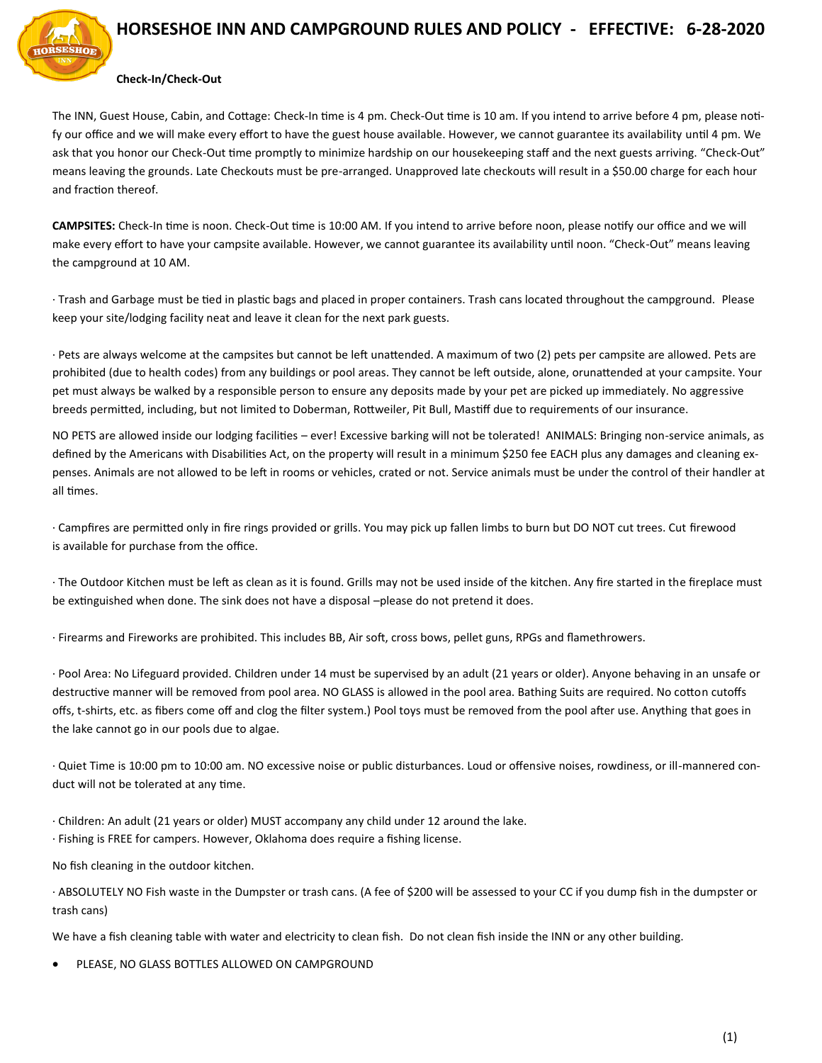

## **HORSESHOE INN AND CAMPGROUND RULES AND POLICY - EFFECTIVE: 6-28-2020**

## **Check-In/Check-Out**

The INN, Guest House, Cabin, and Cottage: Check-In time is 4 pm. Check-Out time is 10 am. If you intend to arrive before 4 pm, please notify our office and we will make every effort to have the guest house available. However, we cannot guarantee its availability until 4 pm. We ask that you honor our Check-Out time promptly to minimize hardship on our housekeeping staff and the next guests arriving. "Check-Out" means leaving the grounds. Late Checkouts must be pre-arranged. Unapproved late checkouts will result in a \$50.00 charge for each hour and fraction thereof.

**CAMPSITES:** Check-In time is noon. Check-Out time is 10:00 AM. If you intend to arrive before noon, please notify our office and we will make every effort to have your campsite available. However, we cannot guarantee its availability until noon. "Check-Out" means leaving the campground at 10 AM.

· Trash and Garbage must be tied in plastic bags and placed in proper containers. Trash cans located throughout the campground. Please keep your site/lodging facility neat and leave it clean for the next park guests.

· Pets are always welcome at the campsites but cannot be left unattended. A maximum of two (2) pets per campsite are allowed. Pets are prohibited (due to health codes) from any buildings or pool areas. They cannot be left outside, alone, orunattended at your campsite. Your pet must always be walked by a responsible person to ensure any deposits made by your pet are picked up immediately. No aggressive breeds permitted, including, but not limited to Doberman, Rottweiler, Pit Bull, Mastiff due to requirements of our insurance.

NO PETS are allowed inside our lodging facilities – ever! Excessive barking will not be tolerated! ANIMALS: Bringing non-service animals, as defined by the Americans with Disabilities Act, on the property will result in a minimum \$250 fee EACH plus any damages and cleaning expenses. Animals are not allowed to be left in rooms or vehicles, crated or not. Service animals must be under the control of their handler at all times.

· Campfires are permitted only in fire rings provided or grills. You may pick up fallen limbs to burn but DO NOT cut trees. Cut firewood is available for purchase from the office.

· The Outdoor Kitchen must be left as clean as it is found. Grills may not be used inside of the kitchen. Any fire started in the fireplace must be extinguished when done. The sink does not have a disposal –please do not pretend it does.

· Firearms and Fireworks are prohibited. This includes BB, Air soft, cross bows, pellet guns, RPGs and flamethrowers.

· Pool Area: No Lifeguard provided. Children under 14 must be supervised by an adult (21 years or older). Anyone behaving in an unsafe or destructive manner will be removed from pool area. NO GLASS is allowed in the pool area. Bathing Suits are required. No cotton cutoffs offs, t-shirts, etc. as fibers come off and clog the filter system.) Pool toys must be removed from the pool after use. Anything that goes in the lake cannot go in our pools due to algae.

· Quiet Time is 10:00 pm to 10:00 am. NO excessive noise or public disturbances. Loud or offensive noises, rowdiness, or ill-mannered conduct will not be tolerated at any time.

· Children: An adult (21 years or older) MUST accompany any child under 12 around the lake.

· Fishing is FREE for campers. However, Oklahoma does require a fishing license.

No fish cleaning in the outdoor kitchen.

· ABSOLUTELY NO Fish waste in the Dumpster or trash cans. (A fee of \$200 will be assessed to your CC if you dump fish in the dumpster or trash cans)

We have a fish cleaning table with water and electricity to clean fish. Do not clean fish inside the INN or any other building.

PLEASE, NO GLASS BOTTLES ALLOWED ON CAMPGROUND